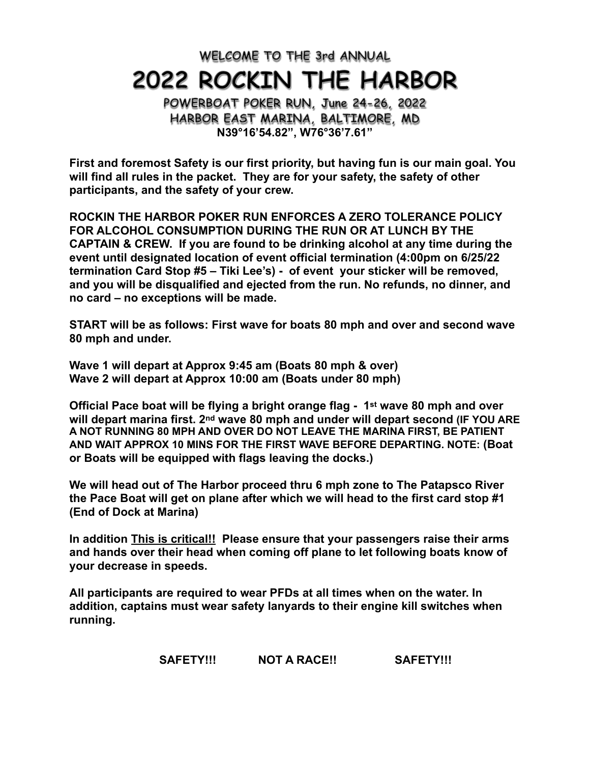**WELCOME TO THE 3rd ANNUAL**

# **2022 ROCKIN THE HARBOR**

**POWERBOAT POKER RUN, June 24-26, 2022 HARBOR EAST MARINA, BALTIMORE, MD N39°16'54.82", W76°36'7.61"**

**First and foremost Safety is our first priority, but having fun is our main goal. You will find all rules in the packet. They are for your safety, the safety of other participants, and the safety of your crew.**

**ROCKIN THE HARBOR POKER RUN ENFORCES A ZERO TOLERANCE POLICY FOR ALCOHOL CONSUMPTION DURING THE RUN OR AT LUNCH BY THE CAPTAIN & CREW. If you are found to be drinking alcohol at any time during the event until designated location of event official termination (4:00pm on 6/25/22 termination Card Stop #5 – Tiki Lee's) - of event your sticker will be removed, and you will be disqualified and ejected from the run. No refunds, no dinner, and no card – no exceptions will be made.**

**START will be as follows: First wave for boats 80 mph and over and second wave 80 mph and under.**

**Wave 1 will depart at Approx 9:45 am (Boats 80 mph & over) Wave 2 will depart at Approx 10:00 am (Boats under 80 mph)**

**Official Pace boat will be flying a bright orange flag - 1st wave 80 mph and over will depart marina first. 2nd wave 80 mph and under will depart second (IF YOU ARE A NOT RUNNING 80 MPH AND OVER DO NOT LEAVE THE MARINA FIRST, BE PATIENT AND WAIT APPROX 10 MINS FOR THE FIRST WAVE BEFORE DEPARTING. NOTE: (Boat or Boats will be equipped with flags leaving the docks.)** 

**We will head out of The Harbor proceed thru 6 mph zone to The Patapsco River the Pace Boat will get on plane after which we will head to the first card stop #1 (End of Dock at Marina)**

**In addition This is critical!! Please ensure that your passengers raise their arms and hands over their head when coming off plane to let following boats know of your decrease in speeds.** 

**All participants are required to wear PFDs at all times when on the water. In addition, captains must wear safety lanyards to their engine kill switches when running.** 

SAFETY!!! NOT A RACE!! SAFETY!!!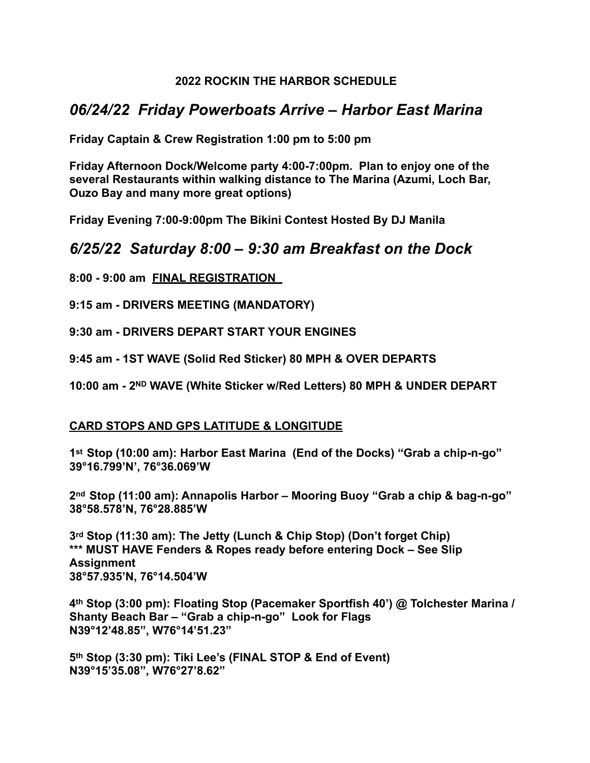#### **2022 ROCKIN THE HARBOR SCHEDULE**

## *06/24/22 Friday Powerboats Arrive – Harbor East Marina*

**Friday Captain & Crew Registration 1:00 pm to 5:00 pm** 

**Friday Afternoon Dock/Welcome party 4:00-7:00pm. Plan to enjoy one of the several Restaurants within walking distance to The Marina (Azumi, Loch Bar, Ouzo Bay and many more great options)**

**Friday Evening 7:00-9:00pm The Bikini Contest Hosted By DJ Manila** 

### *6/25/22 Saturday 8:00 – 9:30 am Breakfast on the Dock*

**8:00 - 9:00 am FINAL REGISTRATION** 

**9:15 am - DRIVERS MEETING (MANDATORY)**

**9:30 am - DRIVERS DEPART START YOUR ENGINES**

**9:45 am - 1ST WAVE (Solid Red Sticker) 80 MPH & OVER DEPARTS**

**10:00 am - 2ND WAVE (White Sticker w/Red Letters) 80 MPH & UNDER DEPART**

#### **CARD STOPS AND GPS LATITUDE & LONGITUDE**

**1st Stop (10:00 am): Harbor East Marina (End of the Docks) "Grab a chip-n-go" 39°16.799'N', 76°36.069'W**

**2nd Stop (11:00 am): Annapolis Harbor – Mooring Buoy "Grab a chip & bag-n-go" 38°58.578'N, 76°28.885'W**

**3rd Stop (11:30 am): The Jetty (Lunch & Chip Stop) (Don't forget Chip) \*\*\* MUST HAVE Fenders & Ropes ready before entering Dock – See Slip Assignment 38°57.935'N, 76°14.504'W** 

**4th Stop (3:00 pm): Floating Stop (Pacemaker Sportfish 40') @ Tolchester Marina / Shanty Beach Bar – "Grab a chip-n-go" Look for Flags N39°12'48.85", W76°14'51.23"**

**5th Stop (3:30 pm): Tiki Lee's (FINAL STOP & End of Event) N39°15'35.08", W76°27'8.62"**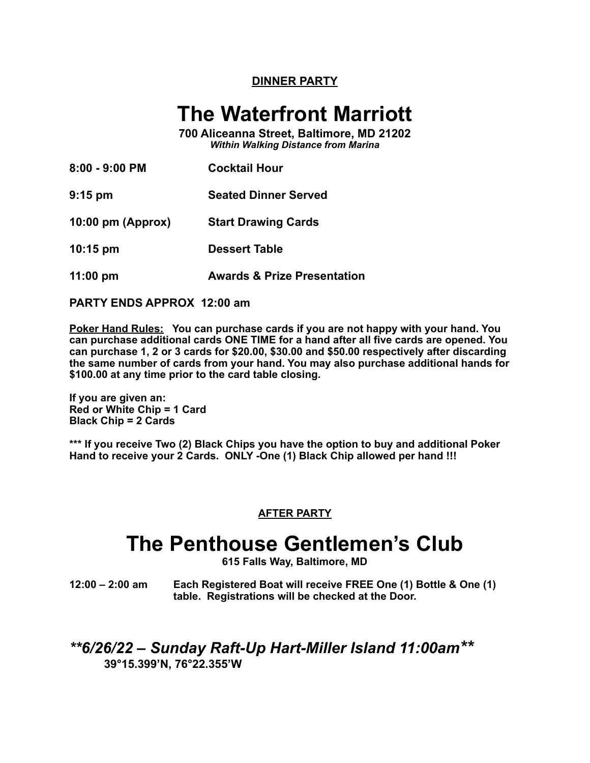#### **DINNER PARTY**

## **The Waterfront Marriott**

**700 Aliceanna Street, Baltimore, MD 21202** *Within Walking Distance from Marina*

| 8:00 - 9:00 PM      | <b>Cocktail Hour</b>        |
|---------------------|-----------------------------|
| $9:15$ pm           | <b>Seated Dinner Served</b> |
| $10:00$ pm (Approx) | <b>Start Drawing Cards</b>  |
| $10:15 \text{ pm}$  | <b>Dessert Table</b>        |
|                     |                             |

**11:00 pm Awards & Prize Presentation**

**PARTY ENDS APPROX 12:00 am**

**Poker Hand Rules: You can purchase cards if you are not happy with your hand. You can purchase additional cards ONE TIME for a hand after all five cards are opened. You can purchase 1, 2 or 3 cards for \$20.00, \$30.00 and \$50.00 respectively after discarding the same number of cards from your hand. You may also purchase additional hands for \$100.00 at any time prior to the card table closing.**

**If you are given an: Red or White Chip = 1 Card Black Chip = 2 Cards**

**\*\*\* If you receive Two (2) Black Chips you have the option to buy and additional Poker Hand to receive your 2 Cards. ONLY -One (1) Black Chip allowed per hand !!!**

#### **AFTER PARTY**

## **The Penthouse Gentlemen's Club**

**615 Falls Way, Baltimore, MD**

**12:00 – 2:00 am Each Registered Boat will receive FREE One (1) Bottle & One (1) table. Registrations will be checked at the Door.**

### *\*\*6/26/22 – Sunday Raft-Up Hart-Miller Island 11:00am\*\** **39°15.399'N, 76°22.355'W**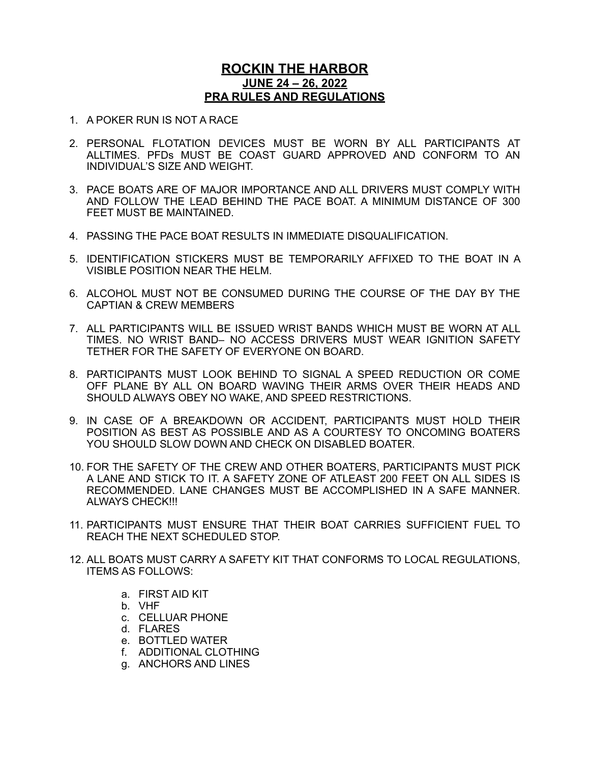#### **ROCKIN THE HARBOR JUNE 24 – 26, 2022 PRA RULES AND REGULATIONS**

- 1. A POKER RUN IS NOT A RACE
- 2. PERSONAL FLOTATION DEVICES MUST BE WORN BY ALL PARTICIPANTS AT ALLTIMES. PFDs MUST BE COAST GUARD APPROVED AND CONFORM TO AN INDIVIDUAL'S SIZE AND WEIGHT.
- 3. PACE BOATS ARE OF MAJOR IMPORTANCE AND ALL DRIVERS MUST COMPLY WITH AND FOLLOW THE LEAD BEHIND THE PACE BOAT. A MINIMUM DISTANCE OF 300 FEET MUST BE MAINTAINED.
- 4. PASSING THE PACE BOAT RESULTS IN IMMEDIATE DISQUALIFICATION.
- 5. IDENTIFICATION STICKERS MUST BE TEMPORARILY AFFIXED TO THE BOAT IN A VISIBLE POSITION NEAR THE HELM.
- 6. ALCOHOL MUST NOT BE CONSUMED DURING THE COURSE OF THE DAY BY THE CAPTIAN & CREW MEMBERS
- 7. ALL PARTICIPANTS WILL BE ISSUED WRIST BANDS WHICH MUST BE WORN AT ALL TIMES. NO WRIST BAND– NO ACCESS DRIVERS MUST WEAR IGNITION SAFETY TETHER FOR THE SAFETY OF EVERYONE ON BOARD.
- 8. PARTICIPANTS MUST LOOK BEHIND TO SIGNAL A SPEED REDUCTION OR COME OFF PLANE BY ALL ON BOARD WAVING THEIR ARMS OVER THEIR HEADS AND SHOULD ALWAYS OBEY NO WAKE, AND SPEED RESTRICTIONS.
- 9. IN CASE OF A BREAKDOWN OR ACCIDENT, PARTICIPANTS MUST HOLD THEIR POSITION AS BEST AS POSSIBLE AND AS A COURTESY TO ONCOMING BOATERS YOU SHOULD SLOW DOWN AND CHECK ON DISABLED BOATER.
- 10. FOR THE SAFETY OF THE CREW AND OTHER BOATERS, PARTICIPANTS MUST PICK A LANE AND STICK TO IT. A SAFETY ZONE OF ATLEAST 200 FEET ON ALL SIDES IS RECOMMENDED. LANE CHANGES MUST BE ACCOMPLISHED IN A SAFE MANNER. ALWAYS CHECK!!!
- 11. PARTICIPANTS MUST ENSURE THAT THEIR BOAT CARRIES SUFFICIENT FUEL TO REACH THE NEXT SCHEDULED STOP.
- 12. ALL BOATS MUST CARRY A SAFETY KIT THAT CONFORMS TO LOCAL REGULATIONS, ITEMS AS FOLLOWS:
	- a. FIRST AID KIT
	- b. VHF
	- c. CELLUAR PHONE
	- d. FLARES
	- e. BOTTLED WATER
	- f. ADDITIONAL CLOTHING
	- g. ANCHORS AND LINES